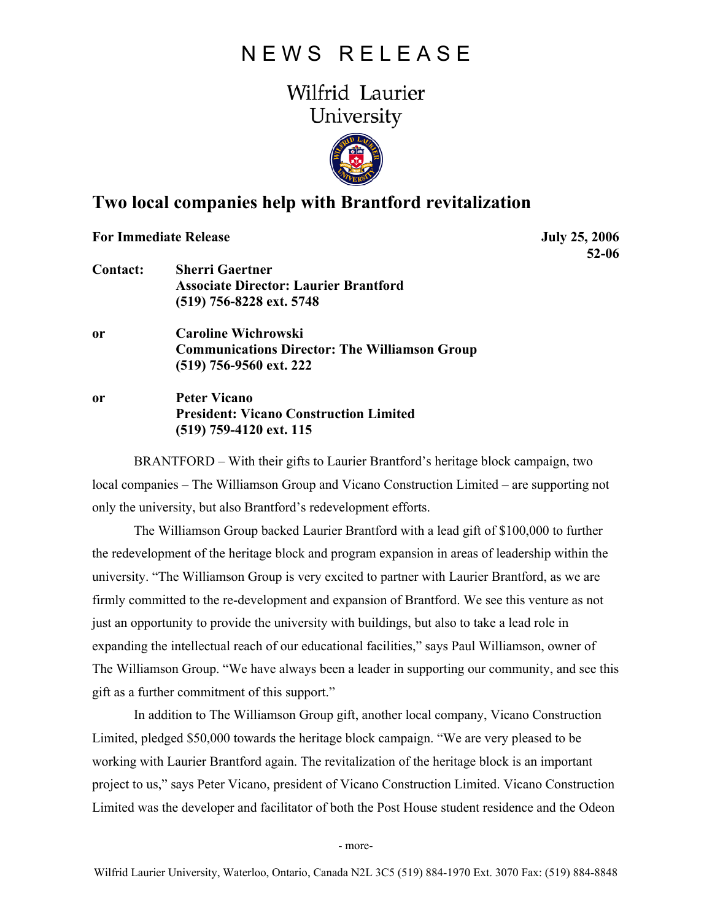## N E W S R E L E A S E

## Wilfrid Laurier University



## **Two local companies help with Brantford revitalization**

**For Immediate Release** July 25, 2006

 **52-06** 

- **Contact: Sherri Gaertner Associate Director: Laurier Brantford (519) 756-8228 ext. 5748**
- **or Caroline Wichrowski Communications Director: The Williamson Group (519) 756-9560 ext. 222**
- **or Peter Vicano President: Vicano Construction Limited (519) 759-4120 ext. 115**

BRANTFORD – With their gifts to Laurier Brantford's heritage block campaign, two local companies – The Williamson Group and Vicano Construction Limited – are supporting not only the university, but also Brantford's redevelopment efforts.

The Williamson Group backed Laurier Brantford with a lead gift of \$100,000 to further the redevelopment of the heritage block and program expansion in areas of leadership within the university. "The Williamson Group is very excited to partner with Laurier Brantford, as we are firmly committed to the re-development and expansion of Brantford. We see this venture as not just an opportunity to provide the university with buildings, but also to take a lead role in expanding the intellectual reach of our educational facilities," says Paul Williamson, owner of The Williamson Group. "We have always been a leader in supporting our community, and see this gift as a further commitment of this support."

In addition to The Williamson Group gift, another local company, Vicano Construction Limited, pledged \$50,000 towards the heritage block campaign. "We are very pleased to be working with Laurier Brantford again. The revitalization of the heritage block is an important project to us," says Peter Vicano, president of Vicano Construction Limited. Vicano Construction Limited was the developer and facilitator of both the Post House student residence and the Odeon